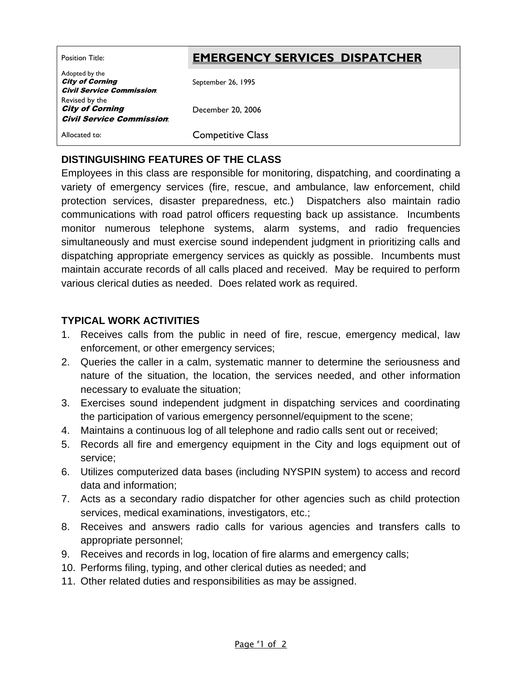# Position Title: **EMERGENCY SERVICES DISPATCHER**

Adopted by the City of Corning Civil Service Commission: September 26, 1995 Revised by the City of Corning Civil Service Commission: December 20, 2006 Allocated to: Competitive Class

### **DISTINGUISHING FEATURES OF THE CLASS**

Employees in this class are responsible for monitoring, dispatching, and coordinating a variety of emergency services (fire, rescue, and ambulance, law enforcement, child protection services, disaster preparedness, etc.) Dispatchers also maintain radio communications with road patrol officers requesting back up assistance. Incumbents monitor numerous telephone systems, alarm systems, and radio frequencies simultaneously and must exercise sound independent judgment in prioritizing calls and dispatching appropriate emergency services as quickly as possible. Incumbents must maintain accurate records of all calls placed and received. May be required to perform various clerical duties as needed. Does related work as required.

#### **TYPICAL WORK ACTIVITIES**

- 1. Receives calls from the public in need of fire, rescue, emergency medical, law enforcement, or other emergency services;
- 2. Queries the caller in a calm, systematic manner to determine the seriousness and nature of the situation, the location, the services needed, and other information necessary to evaluate the situation;
- 3. Exercises sound independent judgment in dispatching services and coordinating the participation of various emergency personnel/equipment to the scene;
- 4. Maintains a continuous log of all telephone and radio calls sent out or received;
- 5. Records all fire and emergency equipment in the City and logs equipment out of service;
- 6. Utilizes computerized data bases (including NYSPIN system) to access and record data and information;
- 7. Acts as a secondary radio dispatcher for other agencies such as child protection services, medical examinations, investigators, etc.;
- 8. Receives and answers radio calls for various agencies and transfers calls to appropriate personnel;
- 9. Receives and records in log, location of fire alarms and emergency calls;
- 10. Performs filing, typing, and other clerical duties as needed; and
- 11. Other related duties and responsibilities as may be assigned.